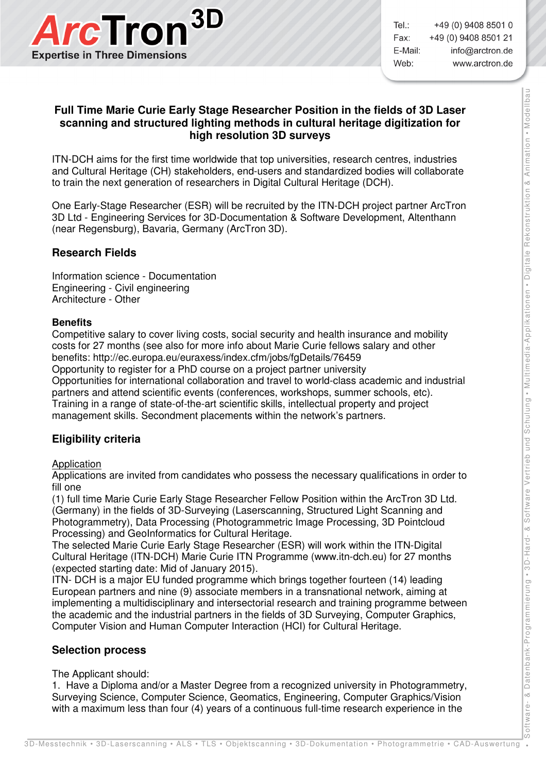

 $Tel:$ +49 (0) 9408 8501 0 Fax: +49 (0) 9408 8501 21 E-Mail: info@arctron.de Web: www.arctron.de

# **Full Time Marie Curie Early Stage Researcher Position in the fields of 3D Laser scanning and structured lighting methods in cultural heritage digitization for high resolution 3D surveys**

ITN-DCH aims for the first time worldwide that top universities, research centres, industries and Cultural Heritage (CH) stakeholders, end-users and standardized bodies will collaborate to train the next generation of researchers in Digital Cultural Heritage (DCH).

One Early-Stage Researcher (ESR) will be recruited by the ITN-DCH project partner ArcTron 3D Ltd - Engineering Services for 3D-Documentation & Software Development, Altenthann (near Regensburg), Bavaria, Germany (ArcTron 3D).

# **Research Fields**

Information science - Documentation Engineering - Civil engineering Architecture - Other

#### **Benefits**

Competitive salary to cover living costs, social security and health insurance and mobility costs for 27 months (see also for more info about Marie Curie fellows salary and other benefits: http://ec.europa.eu/euraxess/index.cfm/jobs/fgDetails/76459 Opportunity to register for a PhD course on a project partner university Opportunities for international collaboration and travel to world-class academic and industrial partners and attend scientific events (conferences, workshops, summer schools, etc). Training in a range of state-of-the-art scientific skills, intellectual property and project management skills. Secondment placements within the network's partners.

### **Eligibility criteria**

#### Application

Applications are invited from candidates who possess the necessary qualifications in order to fill one

(1) full time Marie Curie Early Stage Researcher Fellow Position within the ArcTron 3D Ltd. (Germany) in the fields of 3D-Surveying (Laserscanning, Structured Light Scanning and Photogrammetry), Data Processing (Photogrammetric Image Processing, 3D Pointcloud Processing) and GeoInformatics for Cultural Heritage.

The selected Marie Curie Early Stage Researcher (ESR) will work within the ITN-Digital Cultural Heritage (ITN-DCH) Marie Curie ITN Programme (www.itn-dch.eu) for 27 months (expected starting date: Mid of January 2015).

ITN- DCH is a major EU funded programme which brings together fourteen (14) leading European partners and nine (9) associate members in a transnational network, aiming at implementing a multidisciplinary and intersectorial research and training programme between the academic and the industrial partners in the fields of 3D Surveying, Computer Graphics, Computer Vision and Human Computer Interaction (HCI) for Cultural Heritage.

### **Selection process**

The Applicant should:

1. Have a Diploma and/or a Master Degree from a recognized university in Photogrammetry, Surveying Science, Computer Science, Geomatics, Engineering, Computer Graphics/Vision with a maximum less than four (4) years of a continuous full-time research experience in the